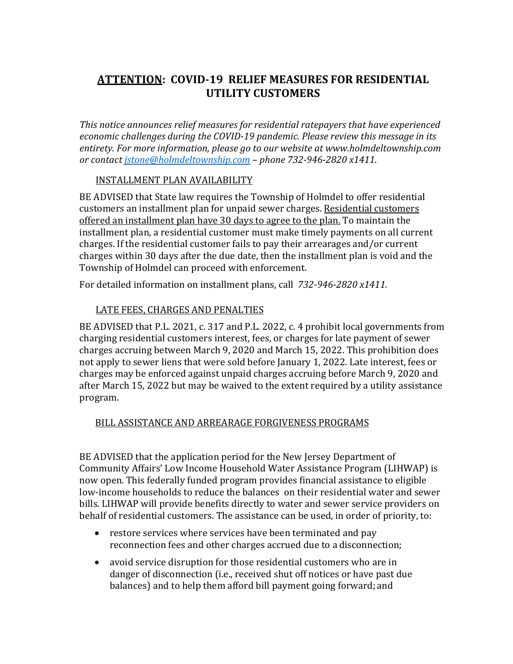## **ATTENTION: COVID‐19 RELIEF MEASURES FOR RESIDENTIAL UTILITY CUSTOMERS**

*This notice announces relief measures for residential ratepayers that have experienced economic challenges during the COVID‐19 pandemic. Please review this message in its entirety. For more information, please go to our website at www.holmdeltownship.com or contact jstone@holmdeltownship.com – phone 732‐946‐2820 x1411*.

## INSTALLMENT PLAN AVAILABILITY

BE ADVISED that State law requires the Township of Holmdel to offer residential customers an installment plan for unpaid sewer charges. Residential customers offered an installment plan have 30 days to agree to the plan. To maintain the installment plan, a residential customer must make timely payments on all current charges. If the residential customer fails to pay their arrearages and/or current charges within 30 days after the due date, then the installment plan is void and the Township of Holmdel can proceed with enforcement.

For detailed information on installment plans, call *732‐946‐2820 x1411.*

## LATE FEES, CHARGES AND PENALTIES

BE ADVISED that P.L. 2021, c. 317 and P.L. 2022, c. 4 prohibit local governments from charging residential customers interest, fees, or charges for late payment of sewer charges accruing between March 9, 2020 and March 15, 2022. This prohibition does not apply to sewer liens that were sold before January 1, 2022. Late interest, fees or charges may be enforced against unpaid charges accruing before March 9, 2020 and after March 15, 2022 but may be waived to the extent required by a utility assistance program.

## BILL ASSISTANCE AND ARREARAGE FORGIVENESS PROGRAMS

BE ADVISED that the application period for the New Jersey Department of Community Affairs' Low Income Household Water Assistance Program (LIHWAP) is now open. This federally funded program provides financial assistance to eligible low-income households to reduce the balances on their residential water and sewer bills. LIHWAP will provide benefits directly to water and sewer service providers on behalf of residential customers. The assistance can be used, in order of priority, to:

- restore services where services have been terminated and pay reconnection fees and other charges accrued due to a disconnection;
- avoid service disruption for those residential customers who are in danger of disconnection (i.e., received shut off notices or have past due balances) and to help them afford bill payment going forward; and